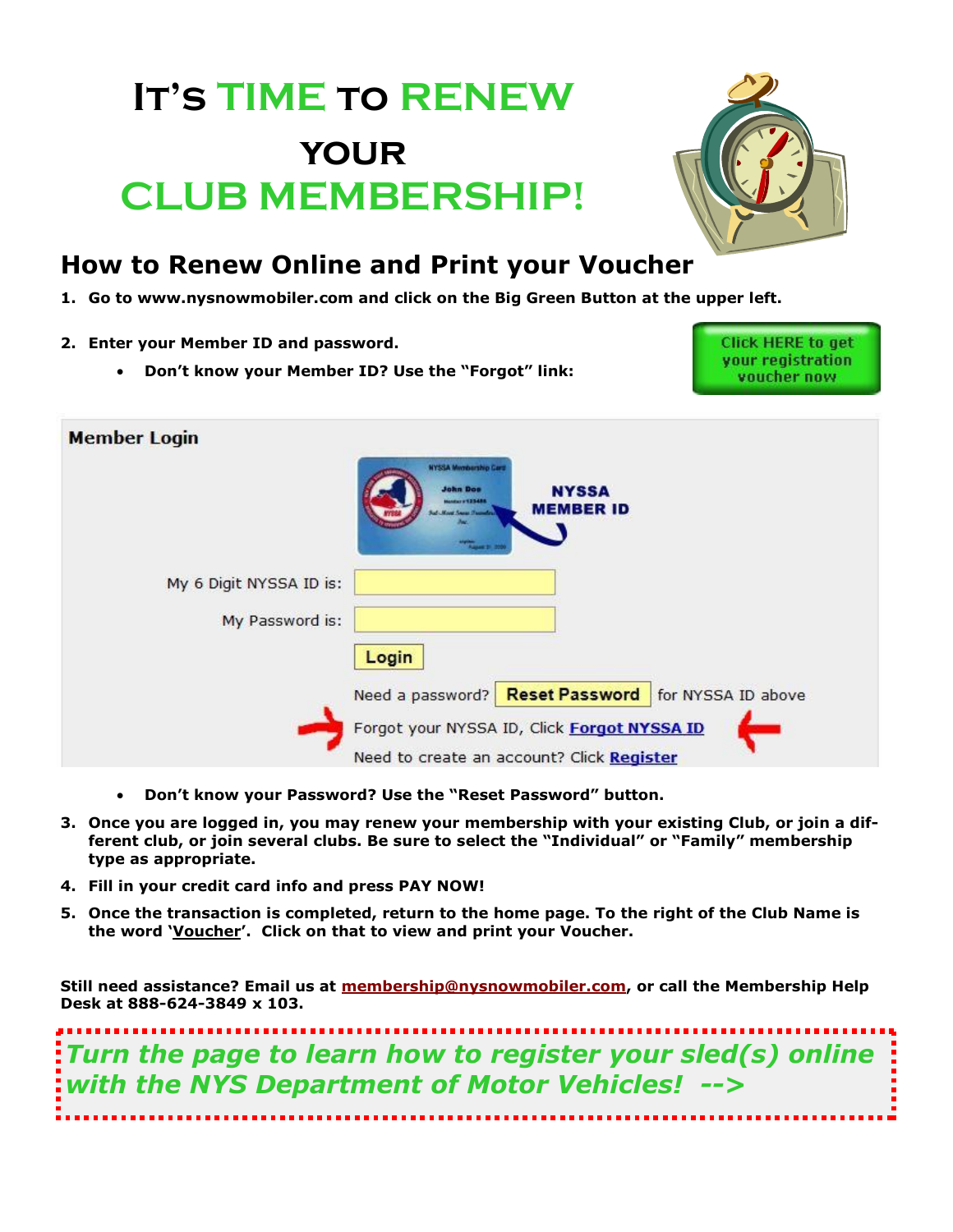## **It's TIME to RENEW your CLUB MEMBERSHIP!**



## **How to Renew Online and Print your Voucher**

- **1. Go to www.nysnowmobiler.com and click on the Big Green Button at the upper left.**
- **2. Enter your Member ID and password.**
	- **Don't know your Member ID? Use the "Forgot" link:**

**Click HERE to get** your registration voucher now

| <b>Member Login</b>     |                                                                                                              |
|-------------------------|--------------------------------------------------------------------------------------------------------------|
|                         | <b>NYSSA Membership Card</b><br><b>John Doo</b><br><b>NYSSA</b><br><b>Andrew PERSONA</b><br><b>MEMBER ID</b> |
| My 6 Digit NYSSA ID is: |                                                                                                              |
| My Password is:         |                                                                                                              |
|                         | Login                                                                                                        |
|                         | Need a password? Reset Password<br>for NYSSA ID above                                                        |
|                         | Forgot your NYSSA ID, Click Forgot NYSSA ID                                                                  |
|                         | Need to create an account? Click Register                                                                    |

- **Don't know your Password? Use the "Reset Password" button.**
- **3. Once you are logged in, you may renew your membership with your existing Club, or join a different club, or join several clubs. Be sure to select the "Individual" or "Family" membership type as appropriate.**
- **4. Fill in your credit card info and press PAY NOW!**
- **5. Once the transaction is completed, return to the home page. To the right of the Club Name is the word 'Voucher'. Click on that to view and print your Voucher.**

**Still need assistance? Email us at [membership@nysnowmobiler.com,](mailto:membership@nysnowmobiler.com?subject=Help!) or call the Membership Help Desk at 888-624-3849 x 103.**

*Turn the page to learn how to register your sled(s) online with the NYS Department of Motor Vehicles! -->*